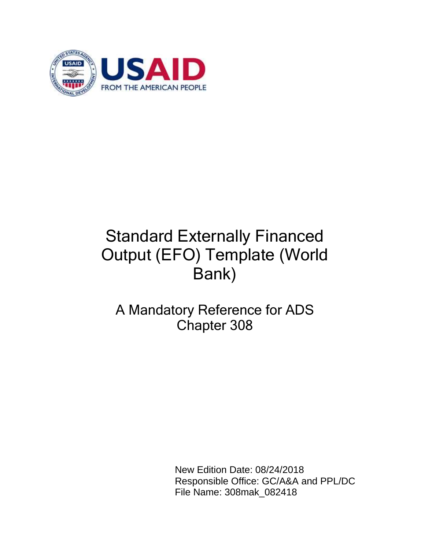

# Standard Externally Financed Output (EFO) Template (World Bank)

# A Mandatory Reference for ADS Chapter 308

 New Edition Date: 08/24/2018 Responsible Office: GC/A&A and PPL/DC File Name: 308mak\_082418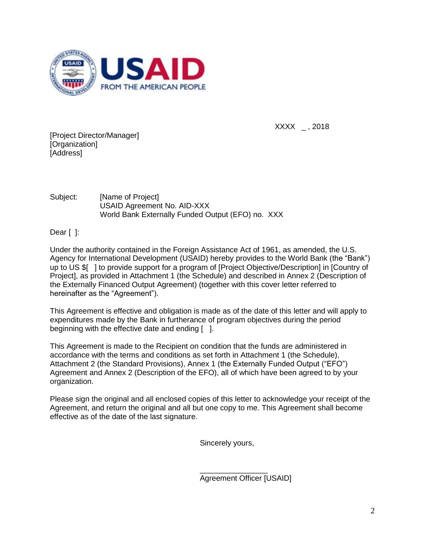

 $XXX_{-}$ , 2018

[Project Director/Manager] [Organization] [Address]

Subject: [Name of Project] USAID Agreement No. AID-XXX World Bank Externally Funded Output (EFO) no. XXX

Dear [ ]:

Under the authority contained in the Foreign Assistance Act of 1961, as amended, the U.S. Agency for International Development (USAID) hereby provides to the World Bank (the "Bank") up to US \$[ ] to provide support for a program of [Project Objective/Description] in [Country of Project], as provided in Attachment 1 (the Schedule) and described in Annex 2 (Description of the Externally Financed Output Agreement) (together with this cover letter referred to hereinafter as the "Agreement").

This Agreement is effective and obligation is made as of the date of this letter and will apply to expenditures made by the Bank in furtherance of program objectives during the period beginning with the effective date and ending [ ].

This Agreement is made to the Recipient on condition that the funds are administered in accordance with the terms and conditions as set forth in Attachment 1 (the Schedule), Attachment 2 (the Standard Provisions), Annex 1 (the Externally Funded Output ("EFO") Agreement and Annex 2 (Description of the EFO), all of which have been agreed to by your organization.

Please sign the original and all enclosed copies of this letter to acknowledge your receipt of the Agreement, and return the original and all but one copy to me. This Agreement shall become effective as of the date of the last signature.

Sincerely yours,

 $\overline{\phantom{a}}$  , where  $\overline{\phantom{a}}$  , where  $\overline{\phantom{a}}$  , where  $\overline{\phantom{a}}$ Agreement Officer [USAID]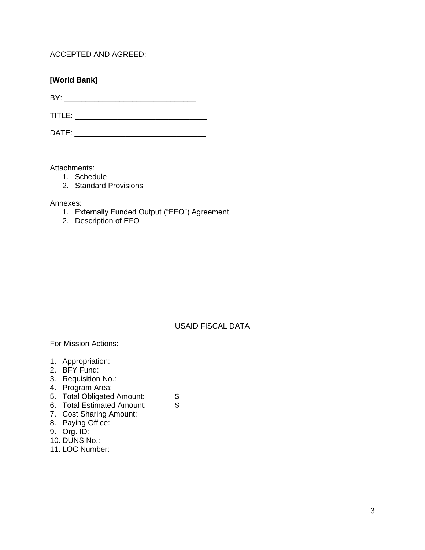ACCEPTED AND AGREED:

# **[World Bank]**

BY: \_\_\_\_\_\_\_\_\_\_\_\_\_\_\_\_\_\_\_\_\_\_\_\_\_\_\_\_\_\_\_

TITLE: \_\_\_\_\_\_\_\_\_\_\_\_\_\_\_\_\_\_\_\_\_\_\_\_\_\_\_\_\_\_\_

DATE: \_\_\_\_\_\_\_\_\_\_\_\_\_\_\_\_\_\_\_\_\_\_\_\_\_\_\_\_\_\_\_

Attachments:

- 1. Schedule
- 2. Standard Provisions

Annexes:

- 1. Externally Funded Output ("EFO") Agreement
- 2. Description of EFO

# USAID FISCAL DATA

For Mission Actions:

- 1. Appropriation:
- 2. BFY Fund:
- 3. Requisition No.:
- 4. Program Area:
- 5. Total Obligated Amount: \$<br>6. Total Estimated Amount: \$
- 6. Total Estimated Amount:
- 7. Cost Sharing Amount:
- 8. Paying Office:
- 9. Org. ID:
- 10. DUNS No.:
- 11. LOC Number: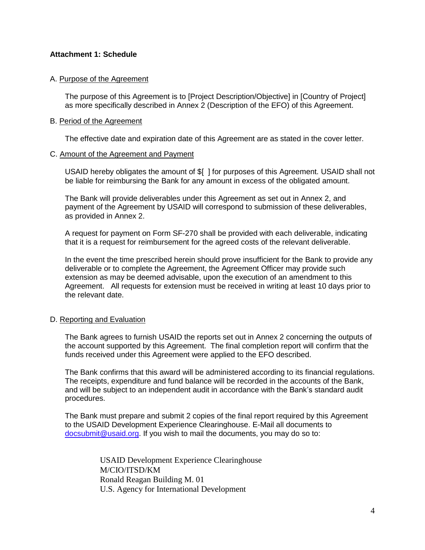# **Attachment 1: Schedule**

#### A. Purpose of the Agreement

The purpose of this Agreement is to [Project Description/Objective] in [Country of Project] as more specifically described in Annex 2 (Description of the EFO) of this Agreement.

#### B. Period of the Agreement

The effective date and expiration date of this Agreement are as stated in the cover letter.

#### C. Amount of the Agreement and Payment

USAID hereby obligates the amount of \$[ ] for purposes of this Agreement. USAID shall not be liable for reimbursing the Bank for any amount in excess of the obligated amount.

The Bank will provide deliverables under this Agreement as set out in Annex 2, and payment of the Agreement by USAID will correspond to submission of these deliverables, as provided in Annex 2.

A request for payment on Form SF-270 shall be provided with each deliverable, indicating that it is a request for reimbursement for the agreed costs of the relevant deliverable.

In the event the time prescribed herein should prove insufficient for the Bank to provide any deliverable or to complete the Agreement, the Agreement Officer may provide such extension as may be deemed advisable, upon the execution of an amendment to this Agreement. All requests for extension must be received in writing at least 10 days prior to the relevant date.

# D. Reporting and Evaluation

The Bank agrees to furnish USAID the reports set out in Annex 2 concerning the outputs of the account supported by this Agreement. The final completion report will confirm that the funds received under this Agreement were applied to the EFO described.

The Bank confirms that this award will be administered according to its financial regulations. The receipts, expenditure and fund balance will be recorded in the accounts of the Bank, and will be subject to an independent audit in accordance with the Bank's standard audit procedures.

The Bank must prepare and submit 2 copies of the final report required by this Agreement to the USAID Development Experience Clearinghouse. E-Mail all documents to docsubmit@usaid.org. If you wish to mail the documents, you may do so to:

> USAID Development Experience Clearinghouse M/CIO/ITSD/KM Ronald Reagan Building M. 01 U.S. Agency for International Development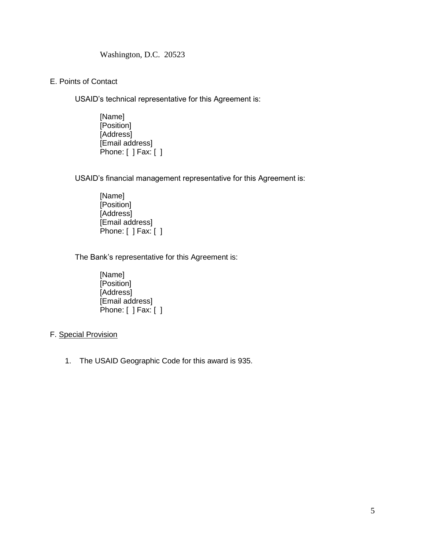# Washington, D.C. 20523

E. Points of Contact

USAID's technical representative for this Agreement is:

[Name] [Position] [Address] [Email address] Phone: [ ] Fax: [ ]

USAID's financial management representative for this Agreement is:

[Name] [Position] [Address] [Email address] Phone: [ ] Fax: [ ]

The Bank's representative for this Agreement is:

[Name] [Position] [Address] [Email address] Phone: [ ] Fax: [ ]

# F. Special Provision

1. The USAID Geographic Code for this award is 935.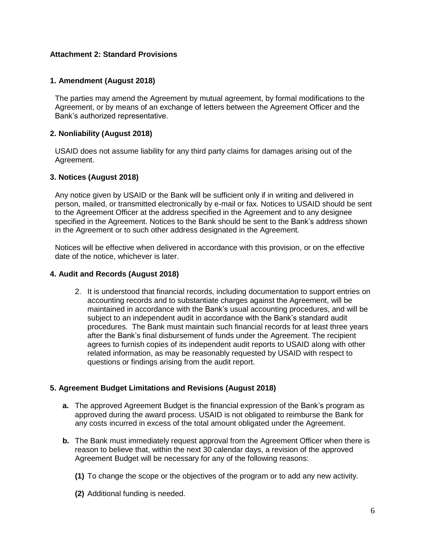# **Attachment 2: Standard Provisions**

# **1. Amendment (August 2018)**

The parties may amend the Agreement by mutual agreement, by formal modifications to the Agreement, or by means of an exchange of letters between the Agreement Officer and the Bank's authorized representative.

# **2. Nonliability (August 2018)**

USAID does not assume liability for any third party claims for damages arising out of the Agreement.

#### **3. Notices (August 2018)**

Any notice given by USAID or the Bank will be sufficient only if in writing and delivered in person, mailed, or transmitted electronically by e-mail or fax. Notices to USAID should be sent to the Agreement Officer at the address specified in the Agreement and to any designee specified in the Agreement. Notices to the Bank should be sent to the Bank's address shown in the Agreement or to such other address designated in the Agreement.

Notices will be effective when delivered in accordance with this provision, or on the effective date of the notice, whichever is later.

#### **4. Audit and Records (August 2018)**

2. It is understood that financial records, including documentation to support entries on accounting records and to substantiate charges against the Agreement, will be maintained in accordance with the Bank's usual accounting procedures, and will be subject to an independent audit in accordance with the Bank's standard audit procedures. The Bank must maintain such financial records for at least three years after the Bank's final disbursement of funds under the Agreement. The recipient agrees to furnish copies of its independent audit reports to USAID along with other related information, as may be reasonably requested by USAID with respect to questions or findings arising from the audit report.

#### **5. Agreement Budget Limitations and Revisions (August 2018)**

- **a.** The approved Agreement Budget is the financial expression of the Bank's program as approved during the award process. USAID is not obligated to reimburse the Bank for any costs incurred in excess of the total amount obligated under the Agreement.
- **b.** The Bank must immediately request approval from the Agreement Officer when there is reason to believe that, within the next 30 calendar days, a revision of the approved Agreement Budget will be necessary for any of the following reasons:
	- **(1)** To change the scope or the objectives of the program or to add any new activity.
	- **(2)** Additional funding is needed.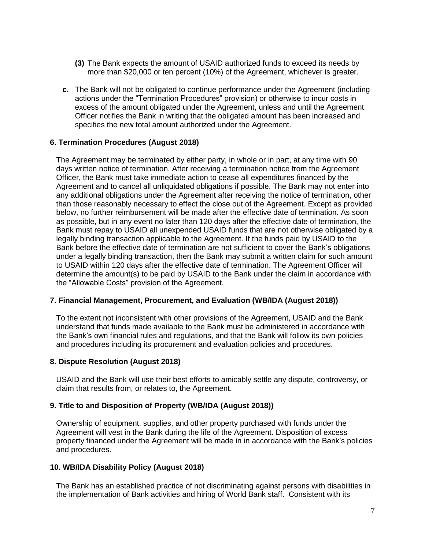- **(3)** The Bank expects the amount of USAID authorized funds to exceed its needs by more than \$20,000 or ten percent (10%) of the Agreement, whichever is greater.
- **c.** The Bank will not be obligated to continue performance under the Agreement (including actions under the "Termination Procedures" provision) or otherwise to incur costs in excess of the amount obligated under the Agreement, unless and until the Agreement Officer notifies the Bank in writing that the obligated amount has been increased and specifies the new total amount authorized under the Agreement.

#### **6. Termination Procedures (August 2018)**

The Agreement may be terminated by either party, in whole or in part, at any time with 90 days written notice of termination. After receiving a termination notice from the Agreement Officer, the Bank must take immediate action to cease all expenditures financed by the Agreement and to cancel all unliquidated obligations if possible. The Bank may not enter into any additional obligations under the Agreement after receiving the notice of termination, other than those reasonably necessary to effect the close out of the Agreement. Except as provided below, no further reimbursement will be made after the effective date of termination. As soon as possible, but in any event no later than 120 days after the effective date of termination, the Bank must repay to USAID all unexpended USAID funds that are not otherwise obligated by a legally binding transaction applicable to the Agreement. If the funds paid by USAID to the Bank before the effective date of termination are not sufficient to cover the Bank's obligations under a legally binding transaction, then the Bank may submit a written claim for such amount to USAID within 120 days after the effective date of termination. The Agreement Officer will determine the amount(s) to be paid by USAID to the Bank under the claim in accordance with the "Allowable Costs" provision of the Agreement.

#### **7. Financial Management, Procurement, and Evaluation (WB/IDA (August 2018))**

To the extent not inconsistent with other provisions of the Agreement, USAID and the Bank understand that funds made available to the Bank must be administered in accordance with the Bank's own financial rules and regulations, and that the Bank will follow its own policies and procedures including its procurement and evaluation policies and procedures.

#### **8. Dispute Resolution (August 2018)**

USAID and the Bank will use their best efforts to amicably settle any dispute, controversy, or claim that results from, or relates to, the Agreement.

#### **9. Title to and Disposition of Property (WB/IDA (August 2018))**

Ownership of equipment, supplies, and other property purchased with funds under the Agreement will vest in the Bank during the life of the Agreement. Disposition of excess property financed under the Agreement will be made in in accordance with the Bank's policies and procedures.

# **10. WB/IDA Disability Policy (August 2018)**

The Bank has an established practice of not discriminating against persons with disabilities in the implementation of Bank activities and hiring of World Bank staff. Consistent with its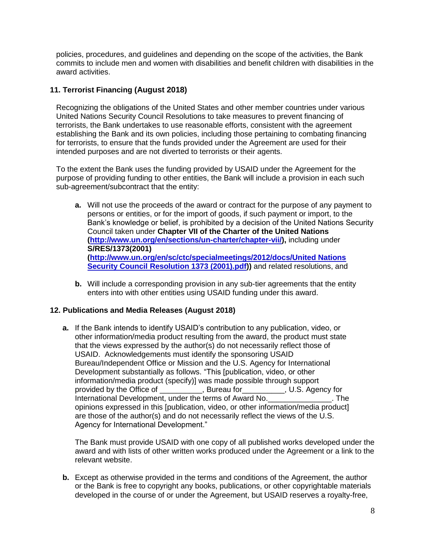policies, procedures, and guidelines and depending on the scope of the activities, the Bank commits to include men and women with disabilities and benefit children with disabilities in the award activities.

# **11. Terrorist Financing (August 2018)**

Recognizing the obligations of the United States and other member countries under various United Nations Security Council Resolutions to take measures to prevent financing of terrorists, the Bank undertakes to use reasonable efforts, consistent with the agreement establishing the Bank and its own policies, including those pertaining to combating financing for terrorists, to ensure that the funds provided under the Agreement are used for their intended purposes and are not diverted to terrorists or their agents.

To the extent the Bank uses the funding provided by USAID under the Agreement for the purpose of providing funding to other entities, the Bank will include a provision in each such sub-agreement/subcontract that the entity:

- **a.** Will not use the proceeds of the award or contract for the purpose of any payment to persons or entities, or for the import of goods, if such payment or import, to the Bank's knowledge or belief, is prohibited by a decision of the United Nations Security Council taken under **Chapter VII of the Charter of the United Nations [\(http://www.un.org/en/sections/un-charter/chapter-vii/\)](http://www.un.org/en/sections/un-charter/chapter-vii/),** including under **S/RES/1373(2001) [\(http://www.un.org/en/sc/ctc/specialmeetings/2012/docs/United Nations](http://www.un.org/en/sc/ctc/specialmeetings/2012/docs/United%20Nations%20Security%20Council%20Resolution%201373%20(2001).pdf)  [Security Council Resolution 1373 \(2001\).pdf\)](http://www.un.org/en/sc/ctc/specialmeetings/2012/docs/United%20Nations%20Security%20Council%20Resolution%201373%20(2001).pdf))** and related resolutions, and
- **b.** Will include a corresponding provision in any sub-tier agreements that the entity enters into with other entities using USAID funding under this award.

# **12. Publications and Media Releases (August 2018)**

**a.** If the Bank intends to identify USAID's contribution to any publication, video, or other information/media product resulting from the award, the product must state that the views expressed by the author(s) do not necessarily reflect those of USAID. Acknowledgements must identify the sponsoring USAID Bureau/Independent Office or Mission and the U.S. Agency for International Development substantially as follows. "This [publication, video, or other information/media product (specify)] was made possible through support provided by the Office of The Sureau for Theorem 2015. Agency for International Development, under the terms of Award No.\_\_\_\_\_\_\_\_\_\_\_\_\_\_\_\_\_\_\_\_\_\_\_. The opinions expressed in this [publication, video, or other information/media product] are those of the author(s) and do not necessarily reflect the views of the U.S. Agency for International Development."

The Bank must provide USAID with one copy of all published works developed under the award and with lists of other written works produced under the Agreement or a link to the relevant website.

**b.** Except as otherwise provided in the terms and conditions of the Agreement, the author or the Bank is free to copyright any books, publications, or other copyrightable materials developed in the course of or under the Agreement, but USAID reserves a royalty-free,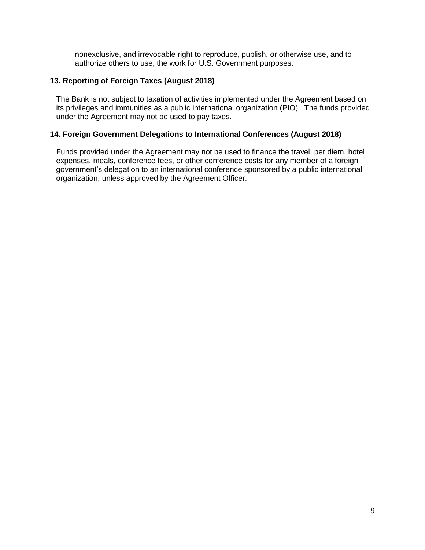nonexclusive, and irrevocable right to reproduce, publish, or otherwise use, and to authorize others to use, the work for U.S. Government purposes.

# **13. Reporting of Foreign Taxes (August 2018)**

The Bank is not subject to taxation of activities implemented under the Agreement based on its privileges and immunities as a public international organization (PIO). The funds provided under the Agreement may not be used to pay taxes.

# **14. Foreign Government Delegations to International Conferences (August 2018)**

Funds provided under the Agreement may not be used to finance the travel, per diem, hotel expenses, meals, conference fees, or other conference costs for any member of a foreign government's delegation to an international conference sponsored by a public international organization, unless approved by the Agreement Officer.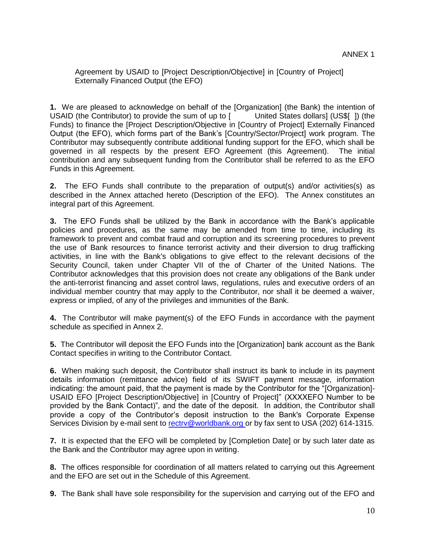Agreement by USAID to [Project Description/Objective] in [Country of Project] Externally Financed Output (the EFO)

**1.** We are pleased to acknowledge on behalf of the [Organization] (the Bank) the intention of USAID (the Contributor) to provide the sum of up to [ United States dollars] (US\$[ ]) (the Funds) to finance the [Project Description/Objective in [Country of Project] Externally Financed Output (the EFO), which forms part of the Bank's [Country/Sector/Project] work program. The Contributor may subsequently contribute additional funding support for the EFO, which shall be governed in all respects by the present EFO Agreement (this Agreement). The initial contribution and any subsequent funding from the Contributor shall be referred to as the EFO Funds in this Agreement.

**2.** The EFO Funds shall contribute to the preparation of output(s) and/or activities(s) as described in the Annex attached hereto (Description of the EFO). The Annex constitutes an integral part of this Agreement.

**3.** The EFO Funds shall be utilized by the Bank in accordance with the Bank's applicable policies and procedures, as the same may be amended from time to time, including its framework to prevent and combat fraud and corruption and its screening procedures to prevent the use of Bank resources to finance terrorist activity and their diversion to drug trafficking activities, in line with the Bank's obligations to give effect to the relevant decisions of the Security Council, taken under Chapter VII of the of Charter of the United Nations. The Contributor acknowledges that this provision does not create any obligations of the Bank under the anti-terrorist financing and asset control laws, regulations, rules and executive orders of an individual member country that may apply to the Contributor, nor shall it be deemed a waiver, express or implied, of any of the privileges and immunities of the Bank.

**4.** The Contributor will make payment(s) of the EFO Funds in accordance with the payment schedule as specified in Annex 2.

**5.** The Contributor will deposit the EFO Funds into the [Organization] bank account as the Bank Contact specifies in writing to the Contributor Contact.

**6.** When making such deposit, the Contributor shall instruct its bank to include in its payment details information (remittance advice) field of its SWIFT payment message, information indicating: the amount paid, that the payment is made by the Contributor for the "[Organization]- USAID EFO [Project Description/Objective] in [Country of Project]" (XXXXEFO Number to be provided by the Bank Contact)", and the date of the deposit. In addition, the Contributor shall provide a copy of the Contributor's deposit instruction to the Bank's Corporate Expense Services Division by e-mail sent to [rectrv@worldbank.org o](mailto:%20rectrv@worldbank.org)r by fax sent to USA (202) 614-1315.

**7.** It is expected that the EFO will be completed by [Completion Date] or by such later date as the Bank and the Contributor may agree upon in writing.

**8.** The offices responsible for coordination of all matters related to carrying out this Agreement and the EFO are set out in the Schedule of this Agreement.

**9.** The Bank shall have sole responsibility for the supervision and carrying out of the EFO and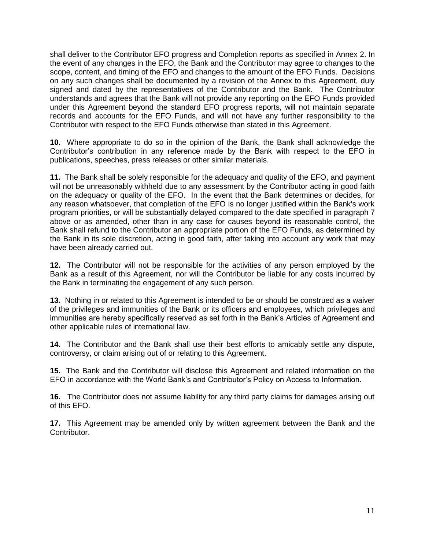shall deliver to the Contributor EFO progress and Completion reports as specified in Annex 2. In the event of any changes in the EFO, the Bank and the Contributor may agree to changes to the scope, content, and timing of the EFO and changes to the amount of the EFO Funds. Decisions on any such changes shall be documented by a revision of the Annex to this Agreement, duly signed and dated by the representatives of the Contributor and the Bank. The Contributor understands and agrees that the Bank will not provide any reporting on the EFO Funds provided under this Agreement beyond the standard EFO progress reports, will not maintain separate records and accounts for the EFO Funds, and will not have any further responsibility to the Contributor with respect to the EFO Funds otherwise than stated in this Agreement.

**10.** Where appropriate to do so in the opinion of the Bank, the Bank shall acknowledge the Contributor's contribution in any reference made by the Bank with respect to the EFO in publications, speeches, press releases or other similar materials.

**11.** The Bank shall be solely responsible for the adequacy and quality of the EFO, and payment will not be unreasonably withheld due to any assessment by the Contributor acting in good faith on the adequacy or quality of the EFO. In the event that the Bank determines or decides, for any reason whatsoever, that completion of the EFO is no longer justified within the Bank's work program priorities, or will be substantially delayed compared to the date specified in paragraph 7 above or as amended, other than in any case for causes beyond its reasonable control, the Bank shall refund to the Contributor an appropriate portion of the EFO Funds, as determined by the Bank in its sole discretion, acting in good faith, after taking into account any work that may have been already carried out.

**12.** The Contributor will not be responsible for the activities of any person employed by the Bank as a result of this Agreement, nor will the Contributor be liable for any costs incurred by the Bank in terminating the engagement of any such person.

**13.** Nothing in or related to this Agreement is intended to be or should be construed as a waiver of the privileges and immunities of the Bank or its officers and employees, which privileges and immunities are hereby specifically reserved as set forth in the Bank's Articles of Agreement and other applicable rules of international law.

**14.** The Contributor and the Bank shall use their best efforts to amicably settle any dispute, controversy, or claim arising out of or relating to this Agreement.

**15.** The Bank and the Contributor will disclose this Agreement and related information on the EFO in accordance with the World Bank's and Contributor's Policy on Access to Information.

**16.** The Contributor does not assume liability for any third party claims for damages arising out of this EFO.

**17.** This Agreement may be amended only by written agreement between the Bank and the Contributor.